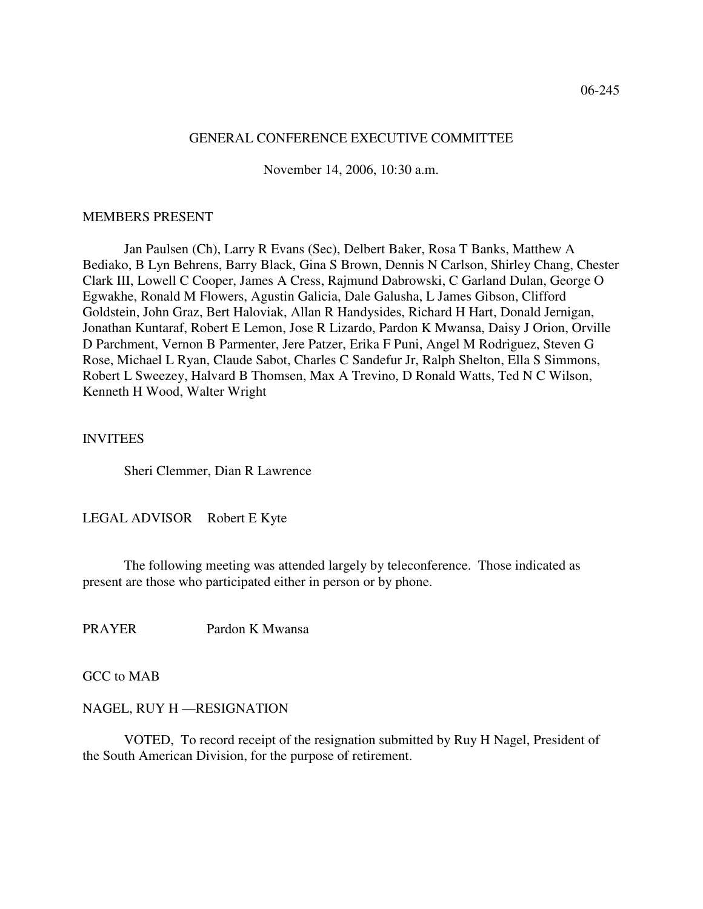#### GENERAL CONFERENCE EXECUTIVE COMMITTEE

November 14, 2006, 10:30 a.m.

#### MEMBERS PRESENT

Jan Paulsen (Ch), Larry R Evans (Sec), Delbert Baker, Rosa T Banks, Matthew A Bediako, B Lyn Behrens, Barry Black, Gina S Brown, Dennis N Carlson, Shirley Chang, Chester Clark III, Lowell C Cooper, James A Cress, Rajmund Dabrowski, C Garland Dulan, George O Egwakhe, Ronald M Flowers, Agustin Galicia, Dale Galusha, L James Gibson, Clifford Goldstein, John Graz, Bert Haloviak, Allan R Handysides, Richard H Hart, Donald Jernigan, Jonathan Kuntaraf, Robert E Lemon, Jose R Lizardo, Pardon K Mwansa, Daisy J Orion, Orville D Parchment, Vernon B Parmenter, Jere Patzer, Erika F Puni, Angel M Rodriguez, Steven G Rose, Michael L Ryan, Claude Sabot, Charles C Sandefur Jr, Ralph Shelton, Ella S Simmons, Robert L Sweezey, Halvard B Thomsen, Max A Trevino, D Ronald Watts, Ted N C Wilson, Kenneth H Wood, Walter Wright

### INVITEES

Sheri Clemmer, Dian R Lawrence

LEGAL ADVISOR Robert E Kyte

The following meeting was attended largely by teleconference. Those indicated as present are those who participated either in person or by phone.

PRAYER Pardon K Mwansa

GCC to MAB

#### NAGEL, RUY H —RESIGNATION

 VOTED, To record receipt of the resignation submitted by Ruy H Nagel, President of the South American Division, for the purpose of retirement.